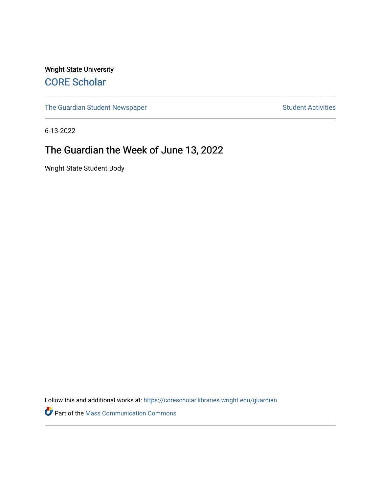Wright State University [CORE Scholar](https://corescholar.libraries.wright.edu/)

[The Guardian Student Newspaper](https://corescholar.libraries.wright.edu/guardian) Student Activities

6-13-2022

#### The Guardian the Week of June 13, 2022

Wright State Student Body

Follow this and additional works at: [https://corescholar.libraries.wright.edu/guardian](https://corescholar.libraries.wright.edu/guardian?utm_source=corescholar.libraries.wright.edu%2Fguardian%2F2522&utm_medium=PDF&utm_campaign=PDFCoverPages)

Part of the [Mass Communication Commons](https://network.bepress.com/hgg/discipline/334?utm_source=corescholar.libraries.wright.edu%2Fguardian%2F2522&utm_medium=PDF&utm_campaign=PDFCoverPages)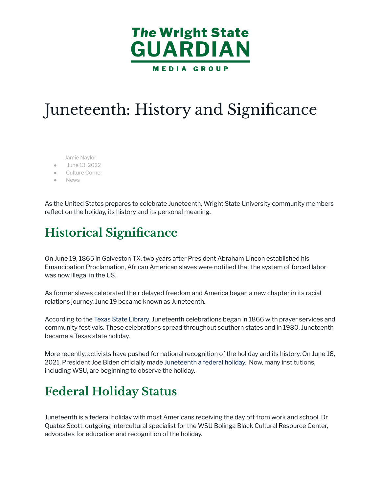

# Juneteenth: History and Significance

[Jamie Naylor](https://wsuguardian.com/author/jamienaylor/)

- [June 13, 2022](https://wsuguardian.com/2022/06/13/)
- **[Culture Corner](https://wsuguardian.com/category/wright-life/culture-corner/)**
- [News](https://wsuguardian.com/category/news/)

As the United States prepares to celebrate Juneteenth, Wright State University community members reflect on the holiday, its history and its personal meaning.

### **Historical Significance**

On June 19, 1865 in Galveston TX, two years after President Abraham Lincon established his Emancipation Proclamation, African American slaves were notified that the system of forced labor was now illegal in the US.

As former slaves celebrated their delayed freedom and America began a new chapter in its racial relations journey, June 19 became known as Juneteenth.

According to the [Texas State Library,](https://www.tsl.texas.gov/ref/abouttx/juneteenth) Juneteenth celebrations began in 1866 with prayer services and community festivals. These celebrations spread throughout southern states and in 1980, Juneteenth became a Texas state holiday.

More recently, activists have pushed for national recognition of the holiday and its history. On June 18, 2021, President Joe Biden officially made Juneteenth [a federal holiday.](https://www.whitehouse.gov/briefing-room/presidential-actions/2021/06/18/a-proclamation-on-juneteenth-day-of-observance-2021/) Now, many institutions, including WSU, are beginning to observe the holiday.

#### **Federal Holiday Status**

Juneteenth is a federal holiday with most Americans receiving the day off from work and school. Dr. Quatez Scott, outgoing intercultural specialist for the WSU Bolinga Black Cultural Resource Center, advocates for education and recognition of the holiday.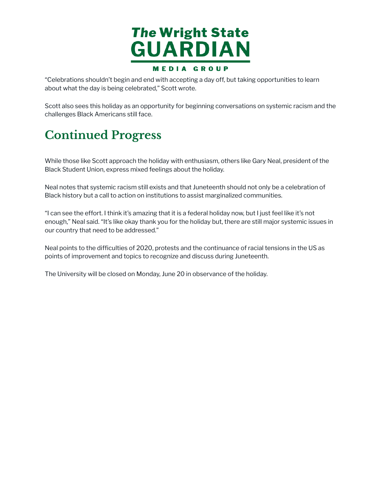

"Celebrations shouldn't begin and end with accepting a day off, but taking opportunities to learn about what the day is being celebrated," Scott wrote.

Scott also sees this holiday as an opportunity for beginning conversations on systemic racism and the challenges Black Americans still face.

#### **Continued Progress**

While those like Scott approach the holiday with enthusiasm, others like Gary Neal, president of the Black Student Union, express mixed feelings about the holiday.

Neal notes that systemic racism still exists and that Juneteenth should not only be a celebration of Black history but a call to action on institutions to assist marginalized communities.

"I can see the effort. I think it's amazing that it is a federal holiday now, but I just feel like it's not enough," Neal said. "It's like okay thank you for the holiday but, there are still major systemic issues in our country that need to be addressed."

Neal points to the difficulties of 2020, protests and the continuance of racial tensions in the US as points of improvement and topics to recognize and discuss during Juneteenth.

The University will be closed on Monday, June 20 in observance of the holiday.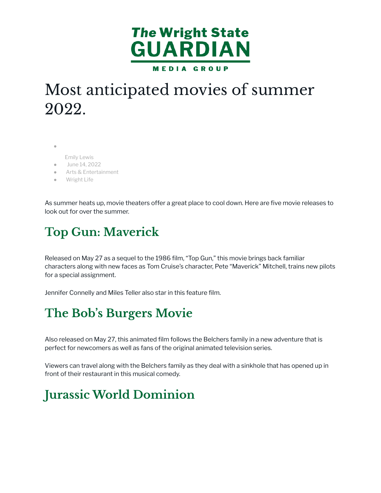

## Most anticipated movies of summer 2022.

●

- [Emily Lewis](https://wsuguardian.com/author/emilylewis/)
- [June 14, 2022](https://wsuguardian.com/2022/06/14/)
- [Arts & Entertainment](https://wsuguardian.com/category/arts-entertainment/)
- **[Wright Life](https://wsuguardian.com/category/wright-life/)**

As summer heats up, movie theaters offer a great place to cool down. Here are five movie releases to look out for over the summer.

### **Top Gun: Maverick**

Released on May 27 as a sequel to the 1986 film, "Top Gun," this movie brings back familiar characters along with new faces as Tom Cruise's character, Pete "Maverick" Mitchell, trains new pilots for a special assignment.

Jennifer Connelly and Miles Teller also star in this feature film.

### **The Bob's Burgers Movie**

Also released on May 27, this animated film follows the Belchers family in a new adventure that is perfect for newcomers as well as fans of the original animated television series.

Viewers can travel along with the Belchers family as they deal with a sinkhole that has opened up in front of their restaurant in this musical comedy.

### **Jurassic World Dominion**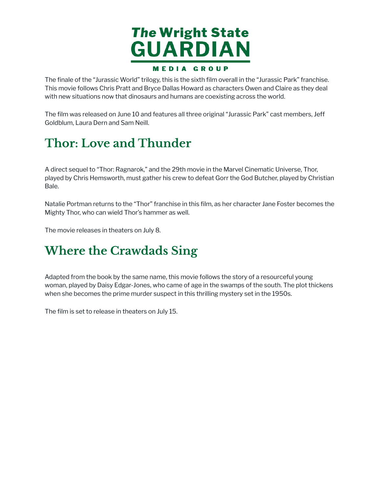

The finale of the "Jurassic World" trilogy, this is the sixth film overall in the "Jurassic Park" franchise. This movie follows Chris Pratt and Bryce Dallas Howard as characters Owen and Claire as they deal with new situations now that dinosaurs and humans are coexisting across the world.

The film was released on June 10 and features all three original "Jurassic Park" cast members, Jeff Goldblum, Laura Dern and Sam Neill.

### **Thor: Love and Thunder**

A direct sequel to "Thor: Ragnarok," and the 29th movie in the Marvel Cinematic Universe, Thor, played by Chris Hemsworth, must gather his crew to defeat Gorr the God Butcher, played by Christian Bale.

Natalie Portman returns to the "Thor" franchise in this film, as her character Jane Foster becomes the Mighty Thor, who can wield Thor's hammer as well.

The movie releases in theaters on July 8.

#### **Where the Crawdads Sing**

Adapted from the book by the same name, this movie follows the story of a resourceful young woman, played by Daisy Edgar-Jones, who came of age in the swamps of the south. The plot thickens when she becomes the prime murder suspect in this thrilling mystery set in the 1950s.

The film is set to release in theaters on July 15.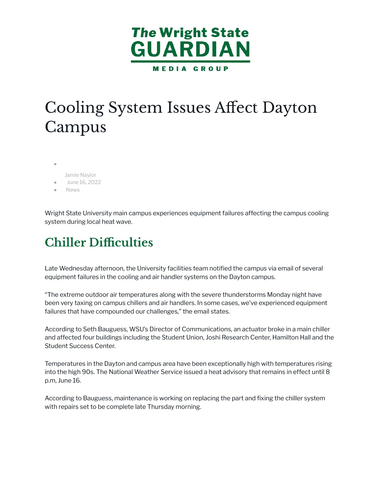

# Cooling System Issues Affect Dayton Campus

- [Jamie Naylor](https://wsuguardian.com/author/jamienaylor/) [June 16, 2022](https://wsuguardian.com/2022/06/16/)
- **[News](https://wsuguardian.com/category/news/)**

Wright State University main campus experiences equipment failures affecting the campus cooling system during local heat wave.

#### **Chiller Difficulties**

Late Wednesday afternoon, the University facilities team notified the campus via email of several equipment failures in the cooling and air handler systems on the Dayton campus.

"The extreme outdoor air temperatures along with the severe thunderstorms Monday night have been very taxing on campus chillers and air handlers. In some cases, we've experienced equipment failures that have compounded our challenges," the email states.

According to Seth Bauguess, WSU's Director of Communications, an actuator broke in a main chiller and affected four buildings including the Student Union, Joshi Research Center, Hamilton Hall and the Student Success Center.

Temperatures in the Dayton and campus area have been exceptionally high with temperatures rising into the high 90s. The National Weather Service issued a heat advisory that remains in effect until 8 p.m, June 16.

According to Bauguess, maintenance is working on replacing the part and fixing the chiller system with repairs set to be complete late Thursday morning.